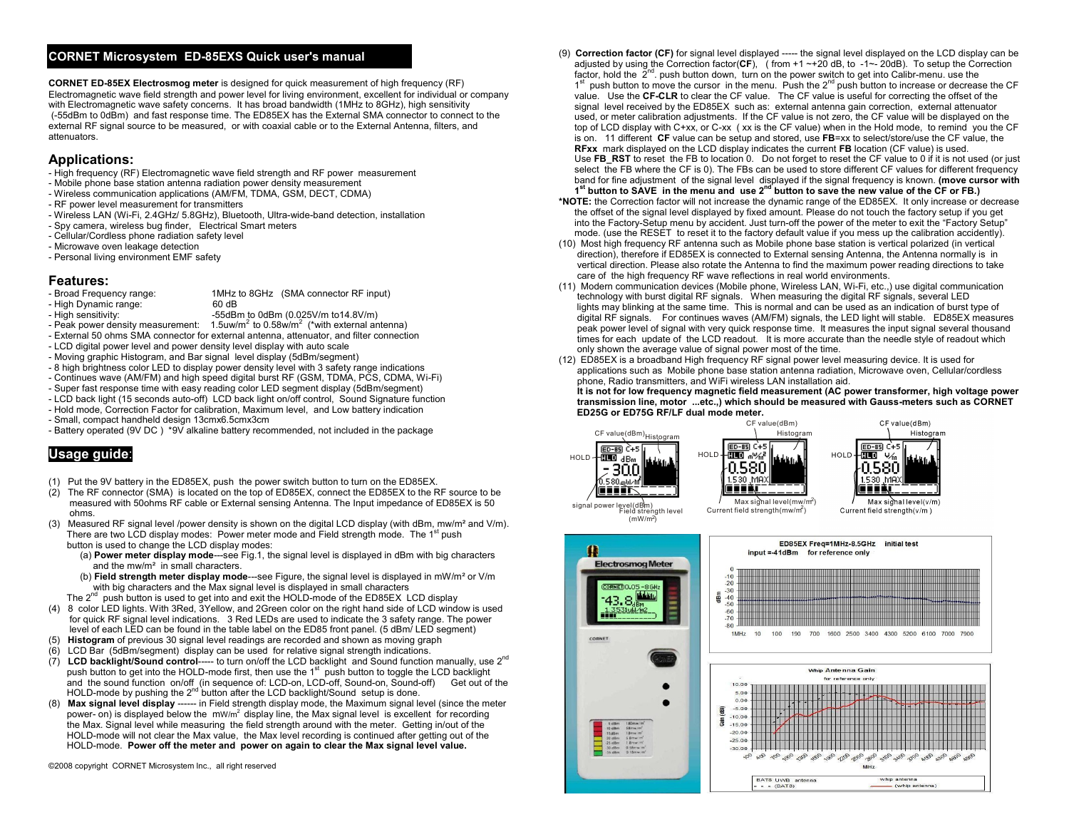# **CORNET Microsystem ED-85EXS Quick user's manual:**

**CORNET ED-85EX Electrosmog meter** is designed for quick measurement of high frequency (RF) Electromagnetic wave field strength and power level for living environment, excellent for individual or company with Electromagnetic wave safety concerns. It has broad bandwidth (1MHz to 8GHz), high sensitivity (-55dBm to 0dBm) and fast response time. The ED85EX has the External SMA connector to connect to the external RF signal source to be measured, or with coaxial cable or to the External Antenna, filters, and attenuators.

### **Applications:**

- High frequency (RF) Electromagnetic wave field strength and RF power measurement
- Mobile phone base station antenna radiation power density measurement
- Wireless communication applications (AM/FM, TDMA, GSM, DECT, CDMA)
- RF power level measurement for transmitters
- Wireless LAN (Wi-Fi, 2.4GHz/ 5.8GHz), Bluetooth, Ultra-wide-band detection, installation
- Spy camera, wireless bug finder, Electrical Smart meters
- Cellular/Cordless phone radiation safety level
- Microwave oven leakage detection
- Personal living environment EMF safety

- **Features:**<br>- Broad Frequency range: 1MHz to 8GHz (SMA connector RF input)
- High Dynamic range: 60 dB
	- -55dBm to 0dBm (0.025V/m to14.8V/m)
- Peak power density measurement:  $1.5$ uw/m<sup>2</sup> to 0.58w/m<sup>2</sup> (\*with external antenna)
- External 50 ohms SMA connector for external antenna, attenuator, and filter connection
- LCD digital power level and power density level display with auto scale
- Moving graphic Histogram, and Bar signal level display (5dBm/segment)
- 8 high brightness color LED to display power density level with 3 safety range indications
- Continues wave (AM/FM) and high speed digital burst RF (GSM, TDMA, PCS, CDMA, Wi-Fi)
- Super fast response time with easy reading color LED segment display (5dBm/segment)
- LCD back light (15 seconds auto-off) LCD back light on/off control, Sound Signature function
- Hold mode, Correction Factor for calibration, Maximum level, and Low battery indication
- Small, compact handheld design 13cmx6.5cmx3cm
- Battery operated (9V DC ) \*9V alkaline battery recommended, not included in the package

# **Usage guide**:

- (1) Put the 9V battery in the ED85EX, push the power switch button to turn on the ED85EX.
- (2) The RF connector (SMA) is located on the top of ED85EX, connect the ED85EX to the RF source to be measured with 50ohms RF cable or External sensing Antenna. The Input impedance of ED85EX is 50 ohms.
- (3) Measured RF signal level /power density is shown on the digital LCD display (with dBm, mw/m<sup>2</sup> and V/m). There are two LCD display modes: Power meter mode and Field strength mode. The 1<sup>st</sup> push button is used to change the LCD display modes:
	- (a) **Power meter display mode**---see Fig.1, the signal level is displayed in dBm with big characters and the mw/m² in small characters.
	- (b) **Field strength meter display mode**---see Figure, the signal level is displayed in mW/m²or V/m with big characters and the Max signal level is displayed in small characters
- The  $2^{nd}$  push button is used to get into and exit the HOLD-mode of the ED85EX LCD display
- (4) 8 color LED lights. With 3Red, 3Yellow, and 2Green color on the right hand side of LCD window is used for quick RF signal level indications. 3 Red LEDs are used to indicate the 3 safety range. The power level of each LED can be found in the table label on the ED85 front panel. (5 dBm/ LED segment)
- (5) **Histogram** of previous 30 signal level readings are recorded and shown as moving graph
- $(6)$  LCD Bar (5dBm/segment) display can be used for relative signal strength indications.<br>(7) LCD backlight/Sound control----- to turn on/off the LCD backlight and Sound function
- **LCD backlight/Sound control-----** to turn on/off the LCD backlight and Sound function manually, use 2<sup>nd</sup>  $\degree$  push button to get into the HOLD-mode first, then use the 1<sup>st</sup> push button to toggle the LCD backlight and the sound function on/off (in sequence of: LCD-on, LCD-off, Sound-on, Sound-off) Get out of the HOLD-mode by pushing the  $2^{nd}$  button after the LCD backlight/Sound setup is done.
- (8) **Max signal level display** ------ in Field strength display mode, the Maximum signal level (since the meter power- on) is displayed below the  $\mu$ <sup>2</sup> display line, the Max signal level is excellent for recording the Max. Signal level while measuring the field strength around with the meter. Getting in/out of the HOLD-mode will not clear the Max value, the Max level recording is continued after getting out of the HOLD-mode. **Power off the meter and power on again to clear the Max signal level value.**

©2008 copyright CORNET Microsystem Inc., all right reserved

- (9) **Correction factor (CF)** for signal level displayed ----- the signal level displayed on the LCD display can be adjusted by using the Correction factor(**CF**), ( from +1 ~+20 dB, to -1~- 20dB). To setup the Correction factor, hold the  $2<sup>nd</sup>$  push button down, turn on the power switch to get into Calibr-menu. use the 1<sup>st</sup> push button to move the cursor in the menu. Push the 2<sup>nd</sup> push button to increase or decrease the CF value. Use the **CF-CLR** to clear the CF value. The CF value is useful for correcting the offset of the signal level received by the ED85EX such as: external antenna gain correction, external attenuator used, or meter calibration adjustments. If the CF value is not zero, the CF value will be displayed on the top of LCD display with C+xx, or C-xx ( xx is the CF value) when in the Hold mode, to remind you the CF is on. 11 different **CF** value can be setup and stored, use **FB**=xx to select/store/use the CF value, the **RFxx** mark displayed on the LCD display indicates the current **FB** location (CF value) is used. Use **FB\_RST** to reset the FB to location 0. Do not forget to reset the CF value to 0 if it is not used (or just select the FB where the CF is 0). The FBs can be used to store different CF values for different frequency band for fine adjustment of the signal level displayed if the signal frequency is known. **(move cursor with** 1<sup>st</sup> button to SAVE in the menu and use 2<sup>nd</sup> button to save the new value of the CF or FB.)
- **\*NOTE:** the Correction factor will not increase the dynamic range of the ED85EX. It only increase or decrease the offset of the signal level displayed by fixed amount. Please do not touch the factory setup if you get into the Factory-Setup menu by accident. Just turn-off the power of the meter to exit the "Factory Setup" mode. (use the RESET to reset it to the factory default value if you mess up the calibration accidently).
- (10) Most high frequency RF antenna such as Mobile phone base station is vertical polarized (in vertical direction), therefore if ED85EX is connected to External sensing Antenna, the Antenna normally is in vertical direction. Please also rotate the Antenna to find the maximum power reading directions to take care of the high frequency RF wave reflections in real world environments.
- (11) Modern communication devices (Mobile phone, Wireless LAN, Wi-Fi, etc.,) use digital communication technology with burst digital RF signals. When measuring the digital RF signals, several LED lights may blinking at the same time. This is normal and can be used as an indication of burst type of digital RF signals. For continues waves (AM/FM) signals, the LED light will stable. ED85EX measures peak power level of signal with very quick response time. It measures the input signal several thousand times for each update of the LCD readout. It is more accurate than the needle style of readout which only shown the average value of signal power most of the time.
- (12) ED85EX is a broadband High frequency RF signal power level measuring device. It is used for applications such as Mobile phone base station antenna radiation, Microwave oven, Cellular/cordless phone, Radio transmitters, and WiFi wireless LAN installation aid.

 **It is not for low frequency magnetic field measurement (AC power transformer, high voltage power transmission line, motor ...etc.,) which should be measured with Gauss-meters such as CORNET ED25G or ED75G RF/LF dual mode meter.**